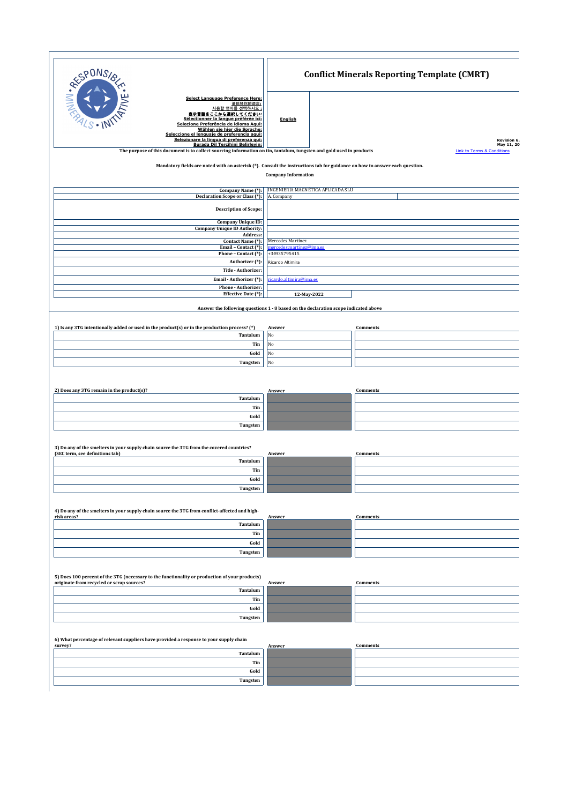| RESPONSI                                                                                                                                                                                                                                                                                                                                                 | <b>Conflict Minerals Reporting Template (CMRT)</b>                                                 |                                       |
|----------------------------------------------------------------------------------------------------------------------------------------------------------------------------------------------------------------------------------------------------------------------------------------------------------------------------------------------------------|----------------------------------------------------------------------------------------------------|---------------------------------------|
| <b>Select Language Preference Here:</b><br>请选择你的语言:<br>사용할 언어를 선택하시오.<br>₹言語をここから選択してください:<br>Sélectionner la langue préférée ici:<br><u>Selecione Preferência de idioma Aqui:</u><br>Wählen sie hier die Sprache:<br>Seleccione el lenguaie de preferencia aqui:<br>Selezionare la lingua di preferenza qui:<br><b>Burada Dil Tercihini Belirleyin:</b> | <b>English</b>                                                                                     | Revision 6.<br>May 11, 20             |
| The purpose of this document is to collect sourcing information on tin, tantalum, tungsten and gold used in products                                                                                                                                                                                                                                     |                                                                                                    | <b>Link to Terms &amp; Conditions</b> |
| Mandatory fields are noted with an asterisk (*). Consult the instructions tab for guidance on how to answer each question.                                                                                                                                                                                                                               | <b>Company Information</b>                                                                         |                                       |
| Company Name (*):<br><b>Declaration Scope or Class (*):</b>                                                                                                                                                                                                                                                                                              | INGENIERÍA MAGNÉTICA APLICADA SLU<br>A. Company                                                    |                                       |
| <b>Description of Scope:</b>                                                                                                                                                                                                                                                                                                                             |                                                                                                    |                                       |
| <b>Company Unique ID:</b>                                                                                                                                                                                                                                                                                                                                |                                                                                                    |                                       |
| <b>Company Unique ID Authority:</b><br>Address:<br>Contact Name (*):                                                                                                                                                                                                                                                                                     | Mercedes Martínez                                                                                  |                                       |
| Email - Contact (*):<br>Phone - Contact (*):                                                                                                                                                                                                                                                                                                             | mercedes.martinez@ima.es<br>+34935795415                                                           |                                       |
| Authorizer (*):                                                                                                                                                                                                                                                                                                                                          | Ricardo Altimira                                                                                   |                                       |
| Title - Authorizer:<br>Email - Authorizer (*):                                                                                                                                                                                                                                                                                                           | ricardo.altimira@ima.es                                                                            |                                       |
| Phone - Authorizer:<br>Effective Date (*):                                                                                                                                                                                                                                                                                                               |                                                                                                    |                                       |
|                                                                                                                                                                                                                                                                                                                                                          | 12-May-2022<br>Answer the following questions 1 - 8 based on the declaration scope indicated above |                                       |
|                                                                                                                                                                                                                                                                                                                                                          |                                                                                                    |                                       |
| 1) Is any 3TG intentionally added or used in the product(s) or in the production process? (*)<br>Tantalum                                                                                                                                                                                                                                                | Answer<br>No                                                                                       | <b>Comments</b>                       |
| Tin                                                                                                                                                                                                                                                                                                                                                      | No                                                                                                 |                                       |
| Gold                                                                                                                                                                                                                                                                                                                                                     | No<br>No                                                                                           |                                       |
| Tungsten                                                                                                                                                                                                                                                                                                                                                 |                                                                                                    |                                       |
|                                                                                                                                                                                                                                                                                                                                                          |                                                                                                    |                                       |
| 2) Does any 3TG remain in the product(s)?<br>Tantalum                                                                                                                                                                                                                                                                                                    | Answer                                                                                             | <b>Comments</b>                       |
| Tin<br>Gold                                                                                                                                                                                                                                                                                                                                              |                                                                                                    |                                       |
| Tungsten                                                                                                                                                                                                                                                                                                                                                 |                                                                                                    |                                       |
| 3) Do any of the smelters in your supply chain source the 3TG from the covered countries?<br>(SEC term, see definitions tab)                                                                                                                                                                                                                             | Answer                                                                                             | <b>Comments</b>                       |
| Tantalum                                                                                                                                                                                                                                                                                                                                                 |                                                                                                    |                                       |
| Tin<br>Gold                                                                                                                                                                                                                                                                                                                                              |                                                                                                    |                                       |
| Tungsten                                                                                                                                                                                                                                                                                                                                                 |                                                                                                    |                                       |
|                                                                                                                                                                                                                                                                                                                                                          |                                                                                                    |                                       |
| 4) Do any of the smelters in your supply chain source the 3TG from conflict-affected and high-<br>risk areas?                                                                                                                                                                                                                                            | Answer                                                                                             | Comments                              |
| Tantalum<br>Tin                                                                                                                                                                                                                                                                                                                                          |                                                                                                    |                                       |
| Gold                                                                                                                                                                                                                                                                                                                                                     |                                                                                                    |                                       |
| Tungsten                                                                                                                                                                                                                                                                                                                                                 |                                                                                                    |                                       |
| 5) Does 100 percent of the 3TG (necessary to the functionality or production of your products)<br>originate from recycled or scrap sources?                                                                                                                                                                                                              | Answer                                                                                             | <b>Comments</b>                       |
| Tantalum<br>Tin                                                                                                                                                                                                                                                                                                                                          |                                                                                                    |                                       |
| Gold                                                                                                                                                                                                                                                                                                                                                     |                                                                                                    |                                       |
| Tungsten                                                                                                                                                                                                                                                                                                                                                 |                                                                                                    |                                       |
| 6) What percentage of relevant suppliers have provided a response to your supply chain<br>survey?                                                                                                                                                                                                                                                        | Answer                                                                                             | <b>Comments</b>                       |
| Tantalum                                                                                                                                                                                                                                                                                                                                                 |                                                                                                    |                                       |
| Tin<br>Gold                                                                                                                                                                                                                                                                                                                                              |                                                                                                    |                                       |
| Tungsten                                                                                                                                                                                                                                                                                                                                                 |                                                                                                    |                                       |
|                                                                                                                                                                                                                                                                                                                                                          |                                                                                                    |                                       |